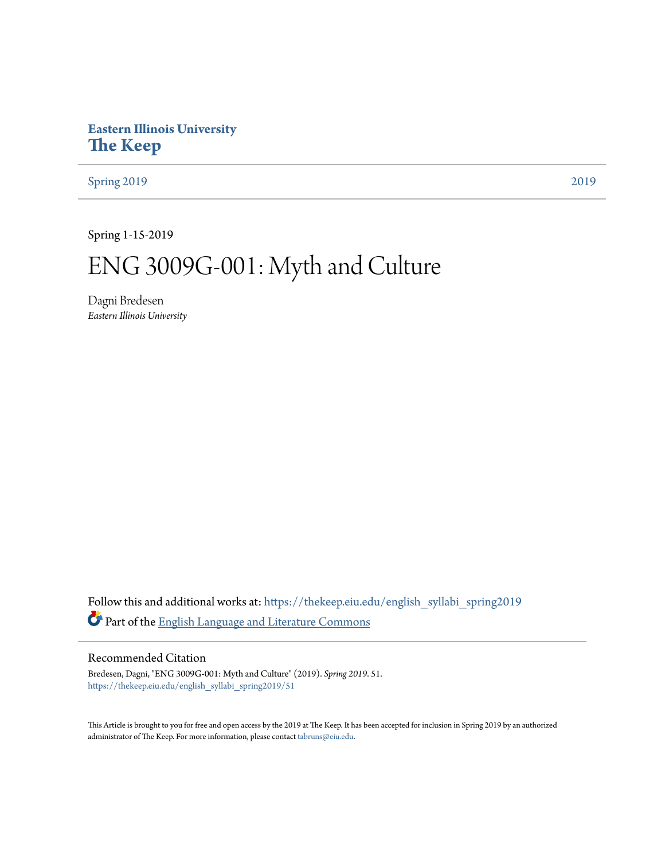# **Eastern Illinois University [The Keep](https://thekeep.eiu.edu?utm_source=thekeep.eiu.edu%2Fenglish_syllabi_spring2019%2F51&utm_medium=PDF&utm_campaign=PDFCoverPages)**

[Spring 2019](https://thekeep.eiu.edu/english_syllabi_spring2019?utm_source=thekeep.eiu.edu%2Fenglish_syllabi_spring2019%2F51&utm_medium=PDF&utm_campaign=PDFCoverPages) [2019](https://thekeep.eiu.edu/english_syllabi2019?utm_source=thekeep.eiu.edu%2Fenglish_syllabi_spring2019%2F51&utm_medium=PDF&utm_campaign=PDFCoverPages)

Spring 1-15-2019

# ENG 3009G-001: Myth and Culture

Dagni Bredesen *Eastern Illinois University*

Follow this and additional works at: [https://thekeep.eiu.edu/english\\_syllabi\\_spring2019](https://thekeep.eiu.edu/english_syllabi_spring2019?utm_source=thekeep.eiu.edu%2Fenglish_syllabi_spring2019%2F51&utm_medium=PDF&utm_campaign=PDFCoverPages) Part of the [English Language and Literature Commons](http://network.bepress.com/hgg/discipline/455?utm_source=thekeep.eiu.edu%2Fenglish_syllabi_spring2019%2F51&utm_medium=PDF&utm_campaign=PDFCoverPages)

# Recommended Citation

Bredesen, Dagni, "ENG 3009G-001: Myth and Culture" (2019). *Spring 2019*. 51. [https://thekeep.eiu.edu/english\\_syllabi\\_spring2019/51](https://thekeep.eiu.edu/english_syllabi_spring2019/51?utm_source=thekeep.eiu.edu%2Fenglish_syllabi_spring2019%2F51&utm_medium=PDF&utm_campaign=PDFCoverPages)

This Article is brought to you for free and open access by the 2019 at The Keep. It has been accepted for inclusion in Spring 2019 by an authorized administrator of The Keep. For more information, please contact [tabruns@eiu.edu.](mailto:tabruns@eiu.edu)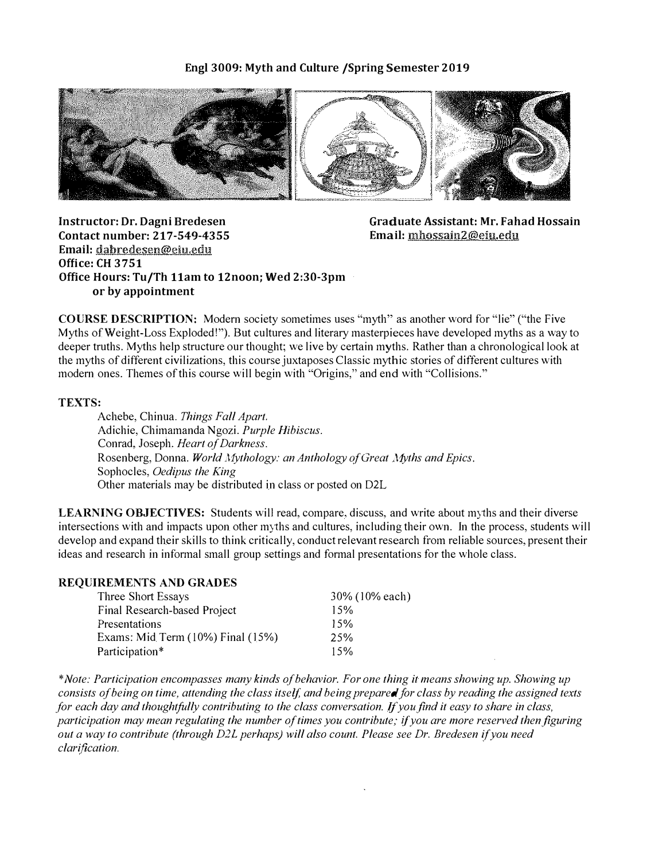# Engl 3009: Myth and Culture /Spring Semester 2019



Instructor: Dr. Dagni Bredesen Contact number: 217-549-4355 Email: dabredesen@eiu.edu Office: CH 3751 Office Hours: Tu/Th 11am to 12noon; Wed 2:30-3pm or by appointment

Graduate Assistant: Mr. Fahad Hossain Email: mhossain2@eiu.edu

COURSE DESCRIPTION: Modern society sometimes uses "myth" as another word for "lie" ("the Five Myths of Weight-Loss Exploded!"). But cultures and literary masterpieces have developed myths as a way to deeper truths. Myths help structure our thought; we live hy certain myths. Rather than a chronological look at the myths of different civilizations, this course juxtaposes Classic mythic stories of different cultures with modern ones. Themes of this course will begin with "Origins," and end with "Collisions."

#### TEXTS:

Achebe, Chinua. Things Fall Apart. Adichie, Chimamanda Ngozi. Purple Hibiscus. Conrad, Joseph. Heart of Darkness. Rosenberg, Donna. World Mythology: an Anthology of Great Myths and Epics. Sophocles, Oedipus the King Other materials may be distributed in class or posted on D2L

LEARNING OBJECTIVES: Students will read, compare, discuss, and write about myths and their diverse intersections with and impacts upon other myths and cultures, including their own. In the process, students will develop and expand their skills to think critically, conduct relevant research from reliable sources, present their ideas and research in informal small group settings and formal presentations for the whole class.

### REQUIREMENTS AND GRADES

| Three Short Essays                | 30% (10% each) |
|-----------------------------------|----------------|
| Final Research-based Project      | 15%            |
| Presentations                     | 15%            |
| Exams: Mid Term (10%) Final (15%) | 25%            |
| Participation*                    | 15%            |

\*Note: Participation encompasses many kinds of behavior. For one thing it means showing up. Showing up consists of being on time, attending the class itself, and being prepared for class by reading the assigned texts for each day and thoughtfully contributing to the class conversation. If you find it easy to share in class, participation may mean regulating the number of times you contribute; if you are more reserved then figuring out a way to contribute (through D2l perhaps) will also count. Please see Dr. Bredesen if you need clarification.